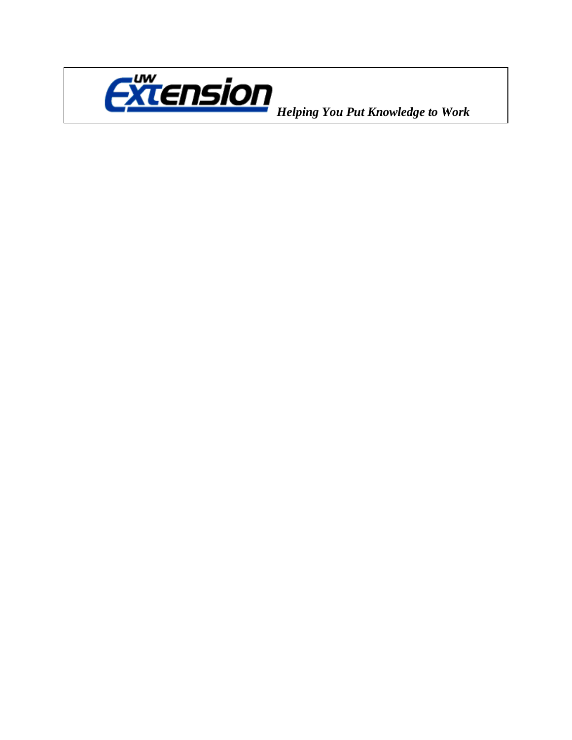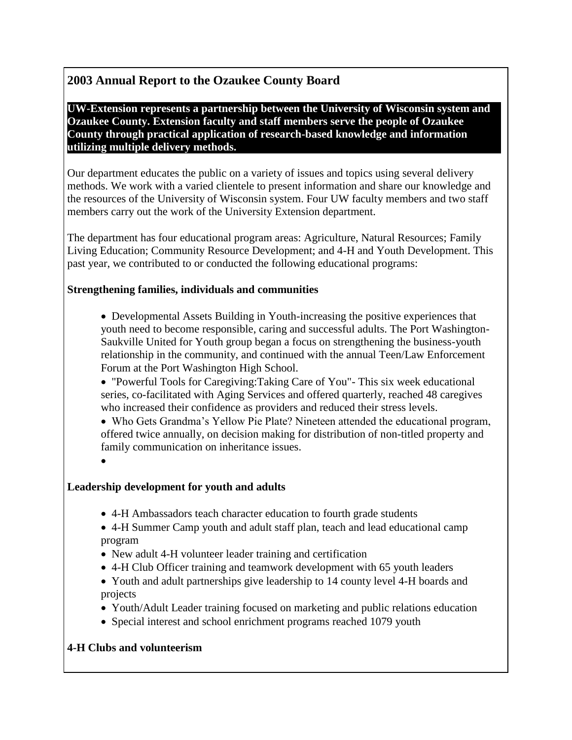# **2003 Annual Report to the Ozaukee County Board**

**UW-Extension represents a partnership between the University of Wisconsin system and Ozaukee County. Extension faculty and staff members serve the people of Ozaukee County through practical application of research-based knowledge and information utilizing multiple delivery methods.**

Our department educates the public on a variety of issues and topics using several delivery methods. We work with a varied clientele to present information and share our knowledge and the resources of the University of Wisconsin system. Four UW faculty members and two staff members carry out the work of the University Extension department.

The department has four educational program areas: Agriculture, Natural Resources; Family Living Education; Community Resource Development; and 4-H and Youth Development. This past year, we contributed to or conducted the following educational programs:

## **Strengthening families, individuals and communities**

- Developmental Assets Building in Youth-increasing the positive experiences that youth need to become responsible, caring and successful adults. The Port Washington-Saukville United for Youth group began a focus on strengthening the business-youth relationship in the community, and continued with the annual Teen/Law Enforcement Forum at the Port Washington High School.
- "Powerful Tools for Caregiving:Taking Care of You"- This six week educational series, co-facilitated with Aging Services and offered quarterly, reached 48 caregives who increased their confidence as providers and reduced their stress levels.

 Who Gets Grandma's Yellow Pie Plate? Nineteen attended the educational program, offered twice annually, on decision making for distribution of non-titled property and family communication on inheritance issues.

 $\bullet$ 

### **Leadership development for youth and adults**

- 4-H Ambassadors teach character education to fourth grade students
- 4-H Summer Camp youth and adult staff plan, teach and lead educational camp program
- New adult 4-H volunteer leader training and certification
- 4-H Club Officer training and teamwork development with 65 youth leaders
- Youth and adult partnerships give leadership to 14 county level 4-H boards and projects
- Youth/Adult Leader training focused on marketing and public relations education
- Special interest and school enrichment programs reached 1079 youth

### **4-H Clubs and volunteerism**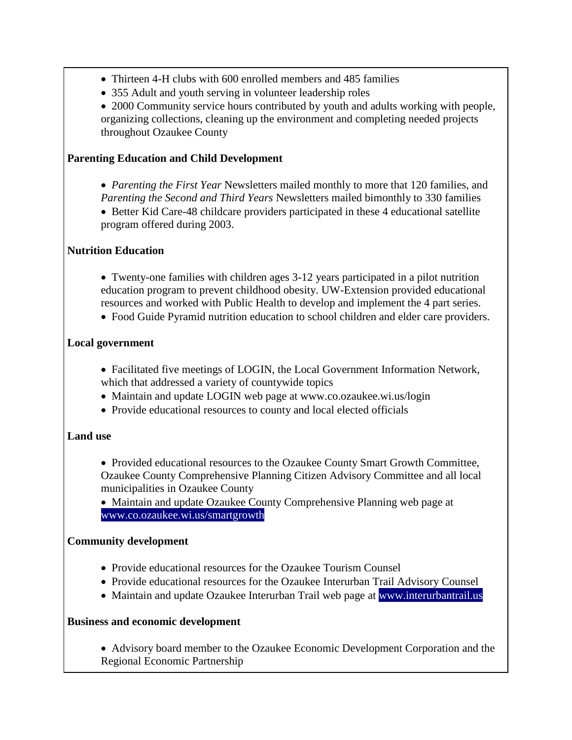- Thirteen 4-H clubs with 600 enrolled members and 485 families
- 355 Adult and youth serving in volunteer leadership roles
- 2000 Community service hours contributed by youth and adults working with people, organizing collections, cleaning up the environment and completing needed projects throughout Ozaukee County

## **Parenting Education and Child Development**

- *Parenting the First Year* Newsletters mailed monthly to more that 120 families, and *Parenting the Second and Third Years* Newsletters mailed bimonthly to 330 families
- Better Kid Care-48 childcare providers participated in these 4 educational satellite program offered during 2003.

## **Nutrition Education**

- Twenty-one families with children ages 3-12 years participated in a pilot nutrition education program to prevent childhood obesity. UW-Extension provided educational resources and worked with Public Health to develop and implement the 4 part series.
- Food Guide Pyramid nutrition education to school children and elder care providers.

## **Local government**

- Facilitated five meetings of LOGIN, the Local Government Information Network, which that addressed a variety of countywide topics
- Maintain and update LOGIN web page at www.co.ozaukee.wi.us/login
- Provide educational resources to county and local elected officials

### **Land use**

- Provided educational resources to the Ozaukee County Smart Growth Committee, Ozaukee County Comprehensive Planning Citizen Advisory Committee and all local municipalities in Ozaukee County
- Maintain and update Ozaukee County Comprehensive Planning web page at [www.co.ozaukee.wi.us/smartgrowth](http://www.co.ozaukee.wi.us/smartgrowth)

# **Community development**

- Provide educational resources for the Ozaukee Tourism Counsel
- Provide educational resources for the Ozaukee Interurban Trail Advisory Counsel
- Maintain and update Ozaukee Interurban Trail web page at [www.interurbantrail.us](http://www.interurbantrail.us/)

### **Business and economic development**

 Advisory board member to the Ozaukee Economic Development Corporation and the Regional Economic Partnership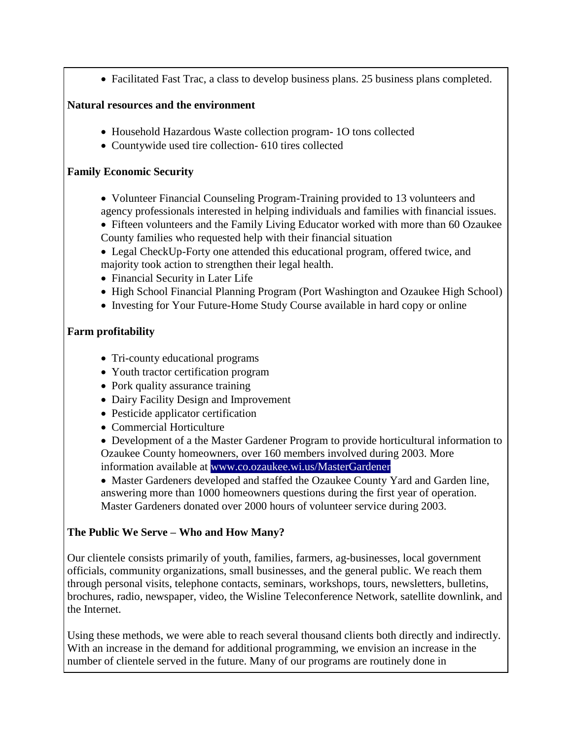• Facilitated Fast Trac, a class to develop business plans. 25 business plans completed.

### **Natural resources and the environment**

- Household Hazardous Waste collection program- 1O tons collected
- Countywide used tire collection- 610 tires collected

### **Family Economic Security**

- Volunteer Financial Counseling Program-Training provided to 13 volunteers and agency professionals interested in helping individuals and families with financial issues.
- Fifteen volunteers and the Family Living Educator worked with more than 60 Ozaukee County families who requested help with their financial situation
- Legal CheckUp-Forty one attended this educational program, offered twice, and majority took action to strengthen their legal health.
- Financial Security in Later Life
- High School Financial Planning Program (Port Washington and Ozaukee High School)
- Investing for Your Future-Home Study Course available in hard copy or online

# **Farm profitability**

- Tri-county educational programs
- Youth tractor certification program
- Pork quality assurance training
- Dairy Facility Design and Improvement
- Pesticide applicator certification
- Commercial Horticulture
- Development of a the Master Gardener Program to provide horticultural information to Ozaukee County homeowners, over 160 members involved during 2003. More information available at [www.co.ozaukee.wi.us/MasterGardener](http://www.co.ozaukee.wi.us/MasterGardener)

 Master Gardeners developed and staffed the Ozaukee County Yard and Garden line, answering more than 1000 homeowners questions during the first year of operation. Master Gardeners donated over 2000 hours of volunteer service during 2003.

# **The Public We Serve – Who and How Many?**

Our clientele consists primarily of youth, families, farmers, ag-businesses, local government officials, community organizations, small businesses, and the general public. We reach them through personal visits, telephone contacts, seminars, workshops, tours, newsletters, bulletins, brochures, radio, newspaper, video, the Wisline Teleconference Network, satellite downlink, and the Internet.

Using these methods, we were able to reach several thousand clients both directly and indirectly. With an increase in the demand for additional programming, we envision an increase in the number of clientele served in the future. Many of our programs are routinely done in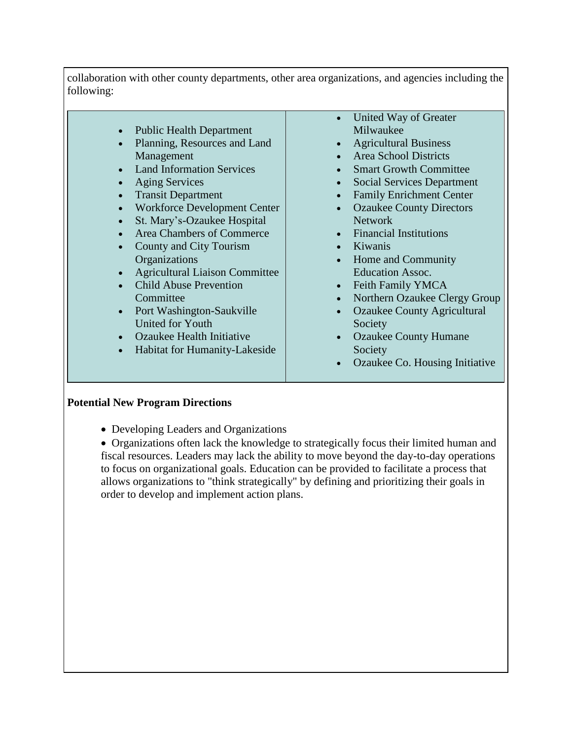collaboration with other county departments, other area organizations, and agencies including the following:

- Public Health Department
- Planning, Resources and Land Management
- Land Information Services
- Aging Services
- Transit Department
- Workforce Development Center
- St. Mary's-Ozaukee Hospital
- Area Chambers of Commerce
- County and City Tourism **Organizations**
- Agricultural Liaison Committee
- Child Abuse Prevention **Committee**
- Port Washington-Saukville United for Youth
- Ozaukee Health Initiative
- Habitat for Humanity-Lakeside
- United Way of Greater Milwaukee
- Agricultural Business
- Area School Districts
- Smart Growth Committee
- Social Services Department
- Family Enrichment Center
- Ozaukee County Directors Network
- Financial Institutions
- Kiwanis
- Home and Community Education Assoc.
- Feith Family YMCA
- Northern Ozaukee Clergy Group
- Ozaukee County Agricultural Society
- Ozaukee County Humane Society
- Ozaukee Co. Housing Initiative

### **Potential New Program Directions**

• Developing Leaders and Organizations

 Organizations often lack the knowledge to strategically focus their limited human and fiscal resources. Leaders may lack the ability to move beyond the day-to-day operations to focus on organizational goals. Education can be provided to facilitate a process that allows organizations to "think strategically" by defining and prioritizing their goals in order to develop and implement action plans.